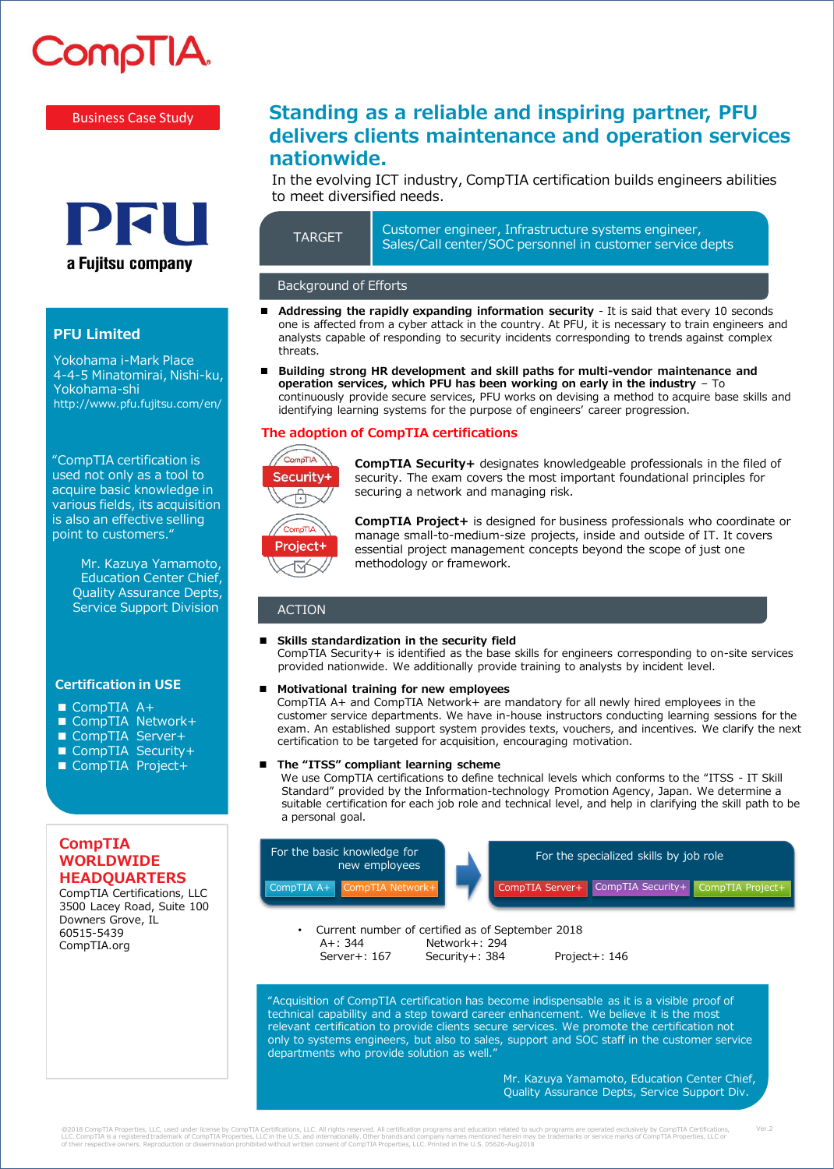# CompTIA

#### Business Case Study



## **PFU Limited**

Yokohama i-Mark Place 4-4-5 Minatomirai, Nishi-ku, Yokohama-shi http://www.pfu.fujitsu.com/en/

"CompTIA certification is used not only as a tool to acquire basic knowledge in various fields, its acquisition is also an effective selling point to customers."

> Mr. Kazuya Yamamoto, Education Center Chief, Quality Assurance Depts, Service Support Division

#### **Certification in USE**

- CompTIA A+
- CompTIA Network+
- CompTIA Server+
- CompTIA Security+
- CompTIA Project+

### **CompTIA WORLDWIDE HEADQUARTERS**

CompTIA Certifications, LLC 3500 Lacey Road, Suite 100 Downers Grove, IL 60515-5439 CompTIA.org

# **Standing as a reliable and inspiring partner, PFU delivers clients maintenance and operation services nationwide.**

In the evolving ICT industry, CompTIA certification builds engineers abilities to meet diversified needs.

| <b>TARGET</b> |  |
|---------------|--|
|               |  |

Customer engineer, Infrastructure systems engineer, Sales/Call center/SOC personnel in customer service depts

#### Background of Efforts

- **Addressing the rapidly expanding information security** It is said that every 10 seconds one is affected from a cyber attack in the country. At PFU, it is necessary to train engineers and analysts capable of responding to security incidents corresponding to trends against complex threats.
- **Building strong HR development and skill paths for multi-vendor maintenance and operation services, which PFU has been working on early in the industry** – To continuously provide secure services, PFU works on devising a method to acquire base skills and identifying learning systems for the purpose of engineers' career progression.

#### **The adoption of CompTIA certifications**



**CompTIA Security+** designates knowledgeable professionals in the filed of security. The exam covers the most important foundational principles for securing a network and managing risk.



**CompTIA Project+** is designed for business professionals who coordinate or manage small-to-medium-size projects, inside and outside of IT. It covers essential project management concepts beyond the scope of just one methodology or framework.

#### ACTION

#### **Skills standardization in the security field**

CompTIA Security+ is identified as the base skills for engineers corresponding to on-site services provided nationwide. We additionally provide training to analysts by incident level.

#### **Motivational training for new employees**

CompTIA A+ and CompTIA Network+ are mandatory for all newly hired employees in the customer service departments. We have in-house instructors conducting learning sessions for the exam. An established support system provides texts, vouchers, and incentives. We clarify the next certification to be targeted for acquisition, encouraging motivation.

#### **The "ITSS" compliant learning scheme**

We use CompTIA certifications to define technical levels which conforms to the "ITSS - IT Skill Standard" provided by the Information-technology Promotion Agency, Japan. We determine a suitable certification for each job role and technical level, and help in clarifying the skill path to be a personal goal.



• Current number of certified as of September 2018 A+: 344 Network+: 294 Server+: 167 Security+: 384 Project+: 146

"Acquisition of CompTIA certification has become indispensable as it is a visible proof of technical capability and a step toward career enhancement. We believe it is the most relevant certification to provide clients secure services. We promote the certification not only to systems engineers, but also to sales, support and SOC staff in the customer service departments who provide solution as well."

> Mr. Kazuya Yamamoto, Education Center Chief, Quality Assurance Depts, Service Support Div.